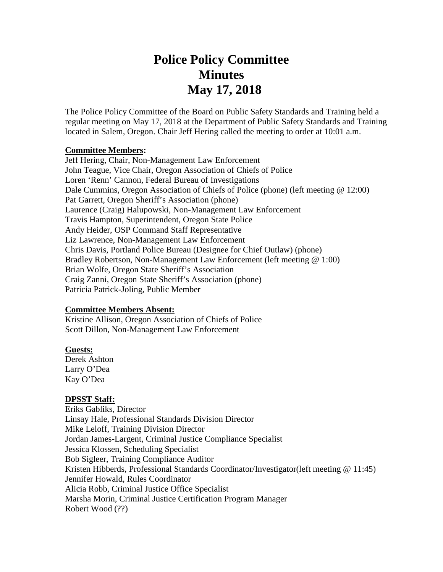# **Police Policy Committee Minutes May 17, 2018**

The Police Policy Committee of the Board on Public Safety Standards and Training held a regular meeting on May 17, 2018 at the Department of Public Safety Standards and Training located in Salem, Oregon. Chair Jeff Hering called the meeting to order at 10:01 a.m.

#### **Committee Members:**

Jeff Hering, Chair, Non-Management Law Enforcement John Teague, Vice Chair, Oregon Association of Chiefs of Police Loren 'Renn' Cannon, Federal Bureau of Investigations Dale Cummins, Oregon Association of Chiefs of Police (phone) (left meeting @ 12:00) Pat Garrett, Oregon Sheriff's Association (phone) Laurence (Craig) Halupowski, Non-Management Law Enforcement Travis Hampton, Superintendent, Oregon State Police Andy Heider, OSP Command Staff Representative Liz Lawrence, Non-Management Law Enforcement Chris Davis, Portland Police Bureau (Designee for Chief Outlaw) (phone) Bradley Robertson, Non-Management Law Enforcement (left meeting @ 1:00) Brian Wolfe, Oregon State Sheriff's Association Craig Zanni, Oregon State Sheriff's Association (phone) Patricia Patrick-Joling, Public Member

#### **Committee Members Absent:**

Kristine Allison, Oregon Association of Chiefs of Police Scott Dillon, Non-Management Law Enforcement

#### **Guests:**

Derek Ashton Larry O'Dea Kay O'Dea

#### **DPSST Staff:**

Eriks Gabliks, Director Linsay Hale, Professional Standards Division Director Mike Leloff, Training Division Director Jordan James-Largent, Criminal Justice Compliance Specialist Jessica Klossen, Scheduling Specialist Bob Sigleer, Training Compliance Auditor Kristen Hibberds, Professional Standards Coordinator/Investigator(left meeting @ 11:45) Jennifer Howald, Rules Coordinator Alicia Robb, Criminal Justice Office Specialist Marsha Morin, Criminal Justice Certification Program Manager Robert Wood (??)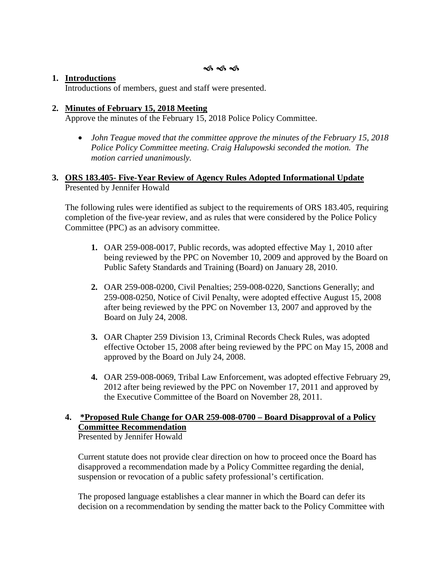#### **1. Introductions**

Introductions of members, guest and staff were presented.

#### **2. Minutes of February 15, 2018 Meeting**

Approve the minutes of the February 15, 2018 Police Policy Committee.

• *John Teague moved that the committee approve the minutes of the February 15, 2018 Police Policy Committee meeting. Craig Halupowski seconded the motion. The motion carried unanimously.*

#### **3. ORS 183.405- Five-Year Review of Agency Rules Adopted Informational Update** Presented by Jennifer Howald

The following rules were identified as subject to the requirements of ORS 183.405, requiring completion of the five-year review, and as rules that were considered by the Police Policy Committee (PPC) as an advisory committee.

- **1.** OAR 259-008-0017, Public records, was adopted effective May 1, 2010 after being reviewed by the PPC on November 10, 2009 and approved by the Board on Public Safety Standards and Training (Board) on January 28, 2010.
- **2.** OAR 259-008-0200, Civil Penalties; 259-008-0220, Sanctions Generally; and 259-008-0250, Notice of Civil Penalty, were adopted effective August 15, 2008 after being reviewed by the PPC on November 13, 2007 and approved by the Board on July 24, 2008.
- **3.** OAR Chapter 259 Division 13, Criminal Records Check Rules, was adopted effective October 15, 2008 after being reviewed by the PPC on May 15, 2008 and approved by the Board on July 24, 2008.
- **4.** OAR 259-008-0069, Tribal Law Enforcement, was adopted effective February 29, 2012 after being reviewed by the PPC on November 17, 2011 and approved by the Executive Committee of the Board on November 28, 2011.

# **4. \*Proposed Rule Change for OAR 259-008-0700 – Board Disapproval of a Policy Committee Recommendation**

Presented by Jennifer Howald

Current statute does not provide clear direction on how to proceed once the Board has disapproved a recommendation made by a Policy Committee regarding the denial, suspension or revocation of a public safety professional's certification.

The proposed language establishes a clear manner in which the Board can defer its decision on a recommendation by sending the matter back to the Policy Committee with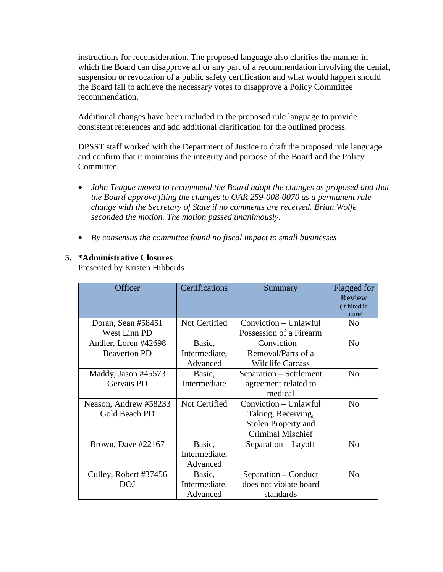instructions for reconsideration. The proposed language also clarifies the manner in which the Board can disapprove all or any part of a recommendation involving the denial, suspension or revocation of a public safety certification and what would happen should the Board fail to achieve the necessary votes to disapprove a Policy Committee recommendation.

Additional changes have been included in the proposed rule language to provide consistent references and add additional clarification for the outlined process.

DPSST staff worked with the Department of Justice to draft the proposed rule language and confirm that it maintains the integrity and purpose of the Board and the Policy Committee.

- *John Teague moved to recommend the Board adopt the changes as proposed and that the Board approve filing the changes to OAR 259-008-0070 as a permanent rule change with the Secretary of State if no comments are received. Brian Wolfe seconded the motion. The motion passed unanimously.*
- *By consensus the committee found no fiscal impact to small businesses*

# **5. \*Administrative Closures**

Presented by Kristen Hibberds

| Officer               | <b>Certifications</b> | Summary                    | Flagged for<br>Review<br>(if hired in<br>future) |
|-----------------------|-----------------------|----------------------------|--------------------------------------------------|
| Doran, Sean #58451    | Not Certified         | Conviction - Unlawful      | N <sub>0</sub>                                   |
| West Linn PD          |                       | Possession of a Firearm    |                                                  |
| Andler, Loren #42698  | Basic,                | $Conviction -$             | N <sub>o</sub>                                   |
| <b>Beaverton PD</b>   | Intermediate,         | Removal/Parts of a         |                                                  |
|                       | Advanced              | <b>Wildlife Carcass</b>    |                                                  |
| Maddy, Jason #45573   | Basic,                | Separation – Settlement    | No                                               |
| Gervais PD            | Intermediate          | agreement related to       |                                                  |
|                       |                       | medical                    |                                                  |
| Neason, Andrew #58233 | Not Certified         | Conviction - Unlawful      | N <sub>0</sub>                                   |
| Gold Beach PD         |                       | Taking, Receiving,         |                                                  |
|                       |                       | <b>Stolen Property and</b> |                                                  |
|                       |                       | <b>Criminal Mischief</b>   |                                                  |
| Brown, Dave #22167    | Basic,                | Separation – Layoff        | N <sub>0</sub>                                   |
|                       | Intermediate,         |                            |                                                  |
|                       | Advanced              |                            |                                                  |
| Culley, Robert #37456 | Basic,                | Separation – Conduct       | N <sub>0</sub>                                   |
| DOJ                   | Intermediate,         | does not violate board     |                                                  |
|                       | Advanced              | standards                  |                                                  |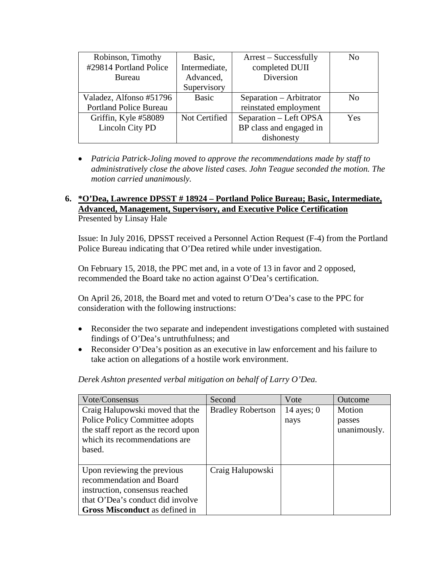| Robinson, Timothy             | Basic,        | $Arrest - Successfully$ | N <sub>0</sub> |
|-------------------------------|---------------|-------------------------|----------------|
| #29814 Portland Police        | Intermediate, | completed DUII          |                |
| Bureau                        | Advanced,     | Diversion               |                |
|                               | Supervisory   |                         |                |
| Valadez, Alfonso #51796       | Basic         | Separation – Arbitrator | No             |
| <b>Portland Police Bureau</b> |               | reinstated employment   |                |
| Griffin, Kyle #58089          | Not Certified | Separation - Left OPSA  | <b>Yes</b>     |
| Lincoln City PD               |               | BP class and engaged in |                |
|                               |               | dishonesty              |                |

• *Patricia Patrick-Joling moved to approve the recommendations made by staff to administratively close the above listed cases. John Teague seconded the motion. The motion carried unanimously.* 

# **6. \*O'Dea, Lawrence DPSST # 18924 – Portland Police Bureau; Basic, Intermediate, Advanced, Management, Supervisory, and Executive Police Certification** Presented by Linsay Hale

Issue: In July 2016, DPSST received a Personnel Action Request (F-4) from the Portland Police Bureau indicating that O'Dea retired while under investigation.

On February 15, 2018, the PPC met and, in a vote of 13 in favor and 2 opposed, recommended the Board take no action against O'Dea's certification.

On April 26, 2018, the Board met and voted to return O'Dea's case to the PPC for consideration with the following instructions:

- Reconsider the two separate and independent investigations completed with sustained findings of O'Dea's untruthfulness; and
- Reconsider O'Dea's position as an executive in law enforcement and his failure to take action on allegations of a hostile work environment.

# *Derek Ashton presented verbal mitigation on behalf of Larry O'Dea.*

| <b>Vote/Consensus</b>                 | Second                   | Vote         | Outcome      |
|---------------------------------------|--------------------------|--------------|--------------|
| Craig Halupowski moved that the       | <b>Bradley Robertson</b> | 14 ayes; $0$ | Motion       |
| Police Policy Committee adopts        |                          | nays         | passes       |
| the staff report as the record upon   |                          |              | unanimously. |
| which its recommendations are         |                          |              |              |
| based.                                |                          |              |              |
|                                       |                          |              |              |
| Upon reviewing the previous           | Craig Halupowski         |              |              |
| recommendation and Board              |                          |              |              |
| instruction, consensus reached        |                          |              |              |
| that O'Dea's conduct did involve      |                          |              |              |
| <b>Gross Misconduct</b> as defined in |                          |              |              |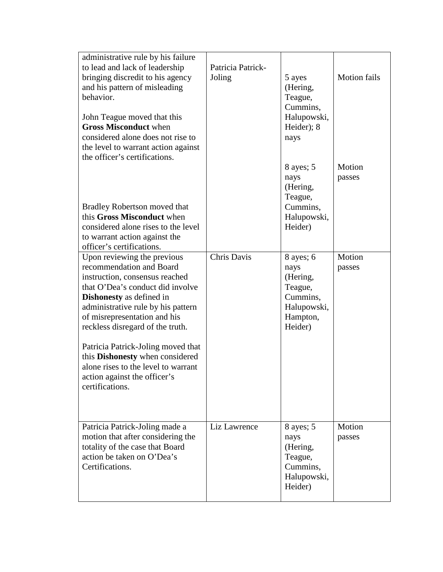| administrative rule by his failure<br>to lead and lack of leadership | Patricia Patrick-  |                        |                     |
|----------------------------------------------------------------------|--------------------|------------------------|---------------------|
| bringing discredit to his agency                                     | Joling             | 5 ayes                 | <b>Motion fails</b> |
| and his pattern of misleading                                        |                    | (Hering,               |                     |
| behavior.                                                            |                    | Teague,                |                     |
|                                                                      |                    | Cummins,               |                     |
| John Teague moved that this                                          |                    | Halupowski,            |                     |
| <b>Gross Misconduct when</b>                                         |                    | Heider); 8             |                     |
| considered alone does not rise to                                    |                    | nays                   |                     |
| the level to warrant action against                                  |                    |                        |                     |
| the officer's certifications.                                        |                    |                        |                     |
|                                                                      |                    | 8 ayes; 5              | Motion              |
|                                                                      |                    | nays                   | passes              |
|                                                                      |                    | (Hering,               |                     |
|                                                                      |                    | Teague,                |                     |
| Bradley Robertson moved that                                         |                    | Cummins,               |                     |
| this Gross Misconduct when                                           |                    | Halupowski,            |                     |
| considered alone rises to the level                                  |                    | Heider)                |                     |
| to warrant action against the                                        |                    |                        |                     |
| officer's certifications.                                            |                    |                        |                     |
| Upon reviewing the previous                                          | <b>Chris Davis</b> | $8$ ayes; $6$          | Motion              |
| recommendation and Board                                             |                    | nays                   | passes              |
| instruction, consensus reached                                       |                    | (Hering,               |                     |
| that O'Dea's conduct did involve                                     |                    | Teague,                |                     |
| <b>Dishonesty</b> as defined in                                      |                    | Cummins,               |                     |
| administrative rule by his pattern                                   |                    | Halupowski,            |                     |
| of misrepresentation and his                                         |                    | Hampton,               |                     |
| reckless disregard of the truth.                                     |                    | Heider)                |                     |
|                                                                      |                    |                        |                     |
| Patricia Patrick-Joling moved that                                   |                    |                        |                     |
| this Dishonesty when considered                                      |                    |                        |                     |
| alone rises to the level to warrant                                  |                    |                        |                     |
| action against the officer's                                         |                    |                        |                     |
| certifications.                                                      |                    |                        |                     |
|                                                                      |                    |                        |                     |
|                                                                      |                    |                        |                     |
|                                                                      |                    |                        |                     |
| Patricia Patrick-Joling made a                                       | Liz Lawrence       | $8$ ayes; $5$          | Motion              |
| motion that after considering the                                    |                    | nays                   | passes              |
| totality of the case that Board                                      |                    | (Hering,               |                     |
| action be taken on O'Dea's                                           |                    | Teague,                |                     |
| Certifications.                                                      |                    | Cummins,               |                     |
|                                                                      |                    | Halupowski,<br>Heider) |                     |
|                                                                      |                    |                        |                     |
|                                                                      |                    |                        |                     |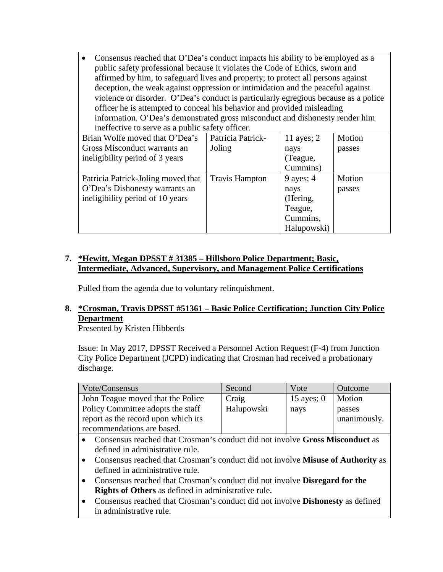• Consensus reached that O'Dea's conduct impacts his ability to be employed as a public safety professional because it violates the Code of Ethics, sworn and affirmed by him, to safeguard lives and property; to protect all persons against deception, the weak against oppression or intimidation and the peaceful against violence or disorder. O'Dea's conduct is particularly egregious because as a police officer he is attempted to conceal his behavior and provided misleading information. O'Dea's demonstrated gross misconduct and dishonesty render him ineffective to serve as a public safety officer.

| Brian Wolfe moved that O'Dea's     | Patricia Patrick-     | 11 ayes; $2$ | Motion |
|------------------------------------|-----------------------|--------------|--------|
| Gross Misconduct warrants an       | Joling                | nays         | passes |
| ineligibility period of 3 years    |                       | (Teague,     |        |
|                                    |                       | Cummins)     |        |
| Patricia Patrick-Joling moved that | <b>Travis Hampton</b> | 9 ayes; $4$  | Motion |
| O'Dea's Dishonesty warrants an     |                       | nays         | passes |
| ineligibility period of 10 years   |                       | (Hering,     |        |
|                                    |                       | Teague,      |        |
|                                    |                       | Cummins,     |        |
|                                    |                       | Halupowski)  |        |

# **7. \*Hewitt, Megan DPSST # 31385 – Hillsboro Police Department; Basic, Intermediate, Advanced, Supervisory, and Management Police Certifications**

Pulled from the agenda due to voluntary relinquishment.

# **8. \*Crosman, Travis DPSST #51361 – Basic Police Certification; Junction City Police Department**

Presented by Kristen Hibberds

Issue: In May 2017, DPSST Received a Personnel Action Request (F-4) from Junction City Police Department (JCPD) indicating that Crosman had received a probationary discharge.

| Vote/Consensus                      | Second     | Vote         | Outcome      |
|-------------------------------------|------------|--------------|--------------|
| John Teague moved that the Police   | Craig      | 15 ayes; $0$ | Motion       |
| Policy Committee adopts the staff   | Halupowski | nays         | passes       |
| report as the record upon which its |            |              | unanimously. |
| recommendations are based.          |            |              |              |

- Consensus reached that Crosman's conduct did not involve **Gross Misconduct** as defined in administrative rule.
- Consensus reached that Crosman's conduct did not involve **Misuse of Authority** as defined in administrative rule.
- Consensus reached that Crosman's conduct did not involve **Disregard for the Rights of Others** as defined in administrative rule.
- Consensus reached that Crosman's conduct did not involve **Dishonesty** as defined in administrative rule.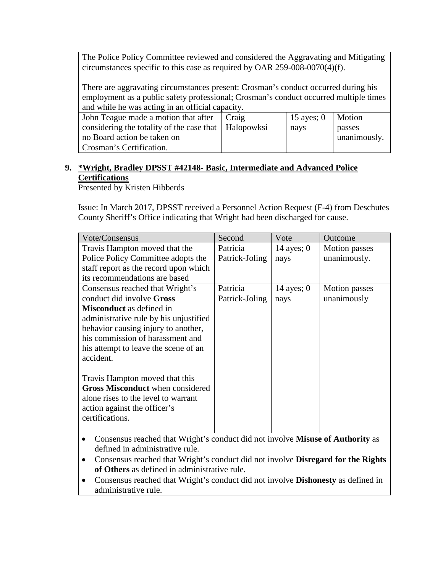The Police Policy Committee reviewed and considered the Aggravating and Mitigating circumstances specific to this case as required by OAR 259-008-0070(4)(f).

There are aggravating circumstances present: Crosman's conduct occurred during his employment as a public safety professional; Crosman's conduct occurred multiple times and while he was acting in an official capacity.

| John Teague made a motion that after                   | Craig | $\vert$ 15 ayes; 0   Motion |              |
|--------------------------------------------------------|-------|-----------------------------|--------------|
| considering the totality of the case that   Halopowksi |       | nays                        | passes       |
| no Board action be taken on                            |       |                             | unanimously. |
| Crosman's Certification.                               |       |                             |              |

# **9. \*Wright, Bradley DPSST #42148- Basic, Intermediate and Advanced Police Certifications**

Presented by Kristen Hibberds

Issue: In March 2017, DPSST received a Personnel Action Request (F-4) from Deschutes County Sheriff's Office indicating that Wright had been discharged for cause.

| Vote/Consensus                          | Second         | Vote         | Outcome              |
|-----------------------------------------|----------------|--------------|----------------------|
| Travis Hampton moved that the           | Patricia       | 14 ayes; $0$ | <b>Motion</b> passes |
| Police Policy Committee adopts the      | Patrick-Joling | nays         | unanimously.         |
| staff report as the record upon which   |                |              |                      |
| its recommendations are based           |                |              |                      |
| Consensus reached that Wright's         | Patricia       | 14 ayes; $0$ | <b>Motion</b> passes |
| conduct did involve Gross               | Patrick-Joling | nays         | unanimously          |
| <b>Misconduct</b> as defined in         |                |              |                      |
| administrative rule by his unjustified  |                |              |                      |
| behavior causing injury to another,     |                |              |                      |
| his commission of harassment and        |                |              |                      |
| his attempt to leave the scene of an    |                |              |                      |
| accident.                               |                |              |                      |
|                                         |                |              |                      |
| Travis Hampton moved that this          |                |              |                      |
| <b>Gross Misconduct</b> when considered |                |              |                      |
| alone rises to the level to warrant     |                |              |                      |
| action against the officer's            |                |              |                      |
| certifications.                         |                |              |                      |
|                                         |                |              |                      |

- Consensus reached that Wright's conduct did not involve **Misuse of Authority** as defined in administrative rule.
- Consensus reached that Wright's conduct did not involve **Disregard for the Rights of Others** as defined in administrative rule.
- Consensus reached that Wright's conduct did not involve **Dishonesty** as defined in administrative rule.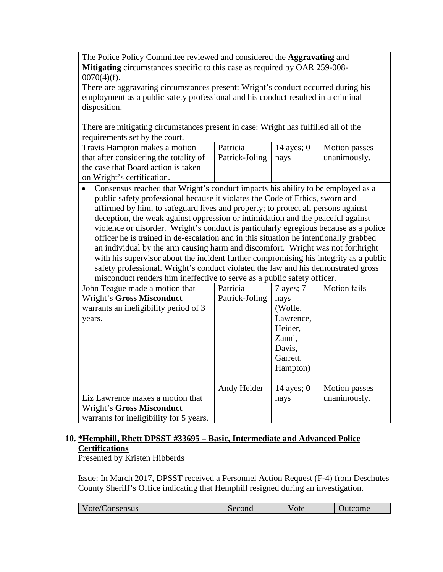The Police Policy Committee reviewed and considered the **Aggravating** and **Mitigating** circumstances specific to this case as required by OAR 259-008-  $0070(4)(f)$ .

There are aggravating circumstances present: Wright's conduct occurred during his employment as a public safety professional and his conduct resulted in a criminal disposition.

There are mitigating circumstances present in case: Wright has fulfilled all of the requirements set by the court.

| Travis Hampton makes a motion          | Patricia              | $\vert$ 14 ayes; 0 | Motion passes |
|----------------------------------------|-----------------------|--------------------|---------------|
| that after considering the totality of | Patrick-Joling   nays |                    | unanimously.  |
| the case that Board action is taken    |                       |                    |               |
| on Wright's certification.             |                       |                    |               |

• Consensus reached that Wright's conduct impacts his ability to be employed as a public safety professional because it violates the Code of Ethics, sworn and affirmed by him, to safeguard lives and property; to protect all persons against deception, the weak against oppression or intimidation and the peaceful against violence or disorder. Wright's conduct is particularly egregious because as a police officer he is trained in de-escalation and in this situation he intentionally grabbed an individual by the arm causing harm and discomfort. Wright was not forthright with his supervisor about the incident further compromising his integrity as a public safety professional. Wright's conduct violated the law and his demonstrated gross misconduct renders him ineffective to serve as a public safety officer.

| John Teague made a motion that          | Patricia       | $7$ ayes; $7$ | <b>Motion</b> fails  |
|-----------------------------------------|----------------|---------------|----------------------|
| Wright's Gross Misconduct               | Patrick-Joling | nays          |                      |
| warrants an ineligibility period of 3   |                | (Wolfe,       |                      |
| years.                                  |                | Lawrence,     |                      |
|                                         |                | Heider,       |                      |
|                                         |                | Zanni,        |                      |
|                                         |                | Davis,        |                      |
|                                         |                | Garrett,      |                      |
|                                         |                | Hampton)      |                      |
|                                         |                |               |                      |
|                                         | Andy Heider    | 14 ayes; $0$  | <b>Motion</b> passes |
| Liz Lawrence makes a motion that        |                | nays          | unanimously.         |
| Wright's Gross Misconduct               |                |               |                      |
| warrants for ineligibility for 5 years. |                |               |                      |

# **10. \*Hemphill, Rhett DPSST #33695 – Basic, Intermediate and Advanced Police Certifications**

Presented by Kristen Hibberds

Issue: In March 2017, DPSST received a Personnel Action Request (F-4) from Deschutes County Sheriff's Office indicating that Hemphill resigned during an investigation.

| ote/Consensus | Second | 'ote | Jutcome |
|---------------|--------|------|---------|
|               |        |      |         |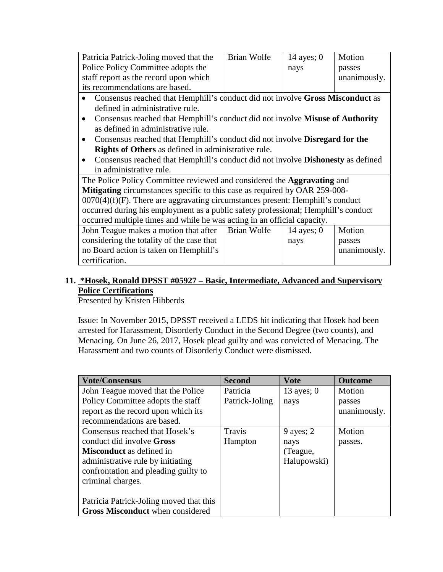| Patricia Patrick-Joling moved that the                                                          | Brian Wolfe | 14 ayes; $0$ | Motion       |
|-------------------------------------------------------------------------------------------------|-------------|--------------|--------------|
| Police Policy Committee adopts the                                                              |             | nays         | passes       |
| staff report as the record upon which                                                           |             |              | unanimously. |
| its recommendations are based.                                                                  |             |              |              |
| Consensus reached that Hemphill's conduct did not involve Gross Misconduct as                   |             |              |              |
| defined in administrative rule.                                                                 |             |              |              |
| Consensus reached that Hemphill's conduct did not involve Misuse of Authority                   |             |              |              |
| as defined in administrative rule.                                                              |             |              |              |
| Consensus reached that Hemphill's conduct did not involve <b>Disregard for the</b><br>$\bullet$ |             |              |              |
| <b>Rights of Others</b> as defined in administrative rule.                                      |             |              |              |
| Consensus reached that Hemphill's conduct did not involve <b>Dishonesty</b> as defined          |             |              |              |
| in administrative rule.                                                                         |             |              |              |
| The Police Policy Committee reviewed and considered the <b>Aggravating</b> and                  |             |              |              |
| Mitigating circumstances specific to this case as required by OAR 259-008-                      |             |              |              |
| $0070(4)(f)(F)$ . There are aggravating circumstances present: Hemphill's conduct               |             |              |              |
| occurred during his employment as a public safety professional; Hemphill's conduct              |             |              |              |
| occurred multiple times and while he was acting in an official capacity.                        |             |              |              |
| John Teague makes a motion that after                                                           | Brian Wolfe | 14 ayes; $0$ | Motion       |
| considering the totality of the case that                                                       |             | nays         | passes       |
| no Board action is taken on Hemphill's                                                          |             |              | unanimously. |
| certification.                                                                                  |             |              |              |

# **11. \*Hosek, Ronald DPSST #05927 – Basic, Intermediate, Advanced and Supervisory Police Certifications**

Presented by Kristen Hibberds

Issue: In November 2015, DPSST received a LEDS hit indicating that Hosek had been arrested for Harassment, Disorderly Conduct in the Second Degree (two counts), and Menacing. On June 26, 2017, Hosek plead guilty and was convicted of Menacing. The Harassment and two counts of Disorderly Conduct were dismissed.

| <b>Vote/Consensus</b>                   | <b>Second</b>  | <b>Vote</b>  | <b>Outcome</b> |
|-----------------------------------------|----------------|--------------|----------------|
| John Teague moved that the Police       | Patricia       | 13 ayes; $0$ | Motion         |
| Policy Committee adopts the staff       | Patrick-Joling | nays         | passes         |
| report as the record upon which its     |                |              | unanimously.   |
| recommendations are based.              |                |              |                |
| Consensus reached that Hosek's          | Travis         | 9 ayes; $2$  | Motion         |
| conduct did involve <b>Gross</b>        | Hampton        | nays         | passes.        |
| <b>Misconduct</b> as defined in         |                | (Teague,     |                |
| administrative rule by initiating       |                | Halupowski)  |                |
| confrontation and pleading guilty to    |                |              |                |
| criminal charges.                       |                |              |                |
|                                         |                |              |                |
| Patricia Patrick-Joling moved that this |                |              |                |
| <b>Gross Misconduct</b> when considered |                |              |                |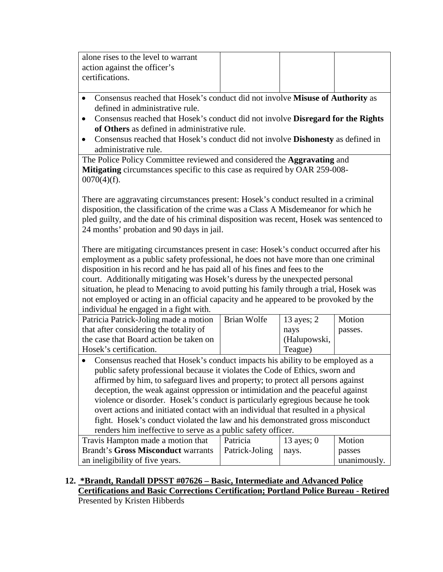| alone rises to the level to warrant<br>action against the officer's<br>certifications.                                                                                                                                                                                                                                                                                                                                                                                                                                                                                                                                                                                                                                                                |                    |                                               |                       |  |  |
|-------------------------------------------------------------------------------------------------------------------------------------------------------------------------------------------------------------------------------------------------------------------------------------------------------------------------------------------------------------------------------------------------------------------------------------------------------------------------------------------------------------------------------------------------------------------------------------------------------------------------------------------------------------------------------------------------------------------------------------------------------|--------------------|-----------------------------------------------|-----------------------|--|--|
| Consensus reached that Hosek's conduct did not involve Misuse of Authority as<br>$\bullet$<br>defined in administrative rule.<br>Consensus reached that Hosek's conduct did not involve Disregard for the Rights<br>$\bullet$<br>of Others as defined in administrative rule.<br>Consensus reached that Hosek's conduct did not involve <b>Dishonesty</b> as defined in<br>$\bullet$<br>administrative rule.                                                                                                                                                                                                                                                                                                                                          |                    |                                               |                       |  |  |
| The Police Policy Committee reviewed and considered the Aggravating and<br>Mitigating circumstances specific to this case as required by OAR 259-008-<br>$0070(4)(f)$ .                                                                                                                                                                                                                                                                                                                                                                                                                                                                                                                                                                               |                    |                                               |                       |  |  |
| There are aggravating circumstances present: Hosek's conduct resulted in a criminal<br>disposition, the classification of the crime was a Class A Misdemeanor for which he<br>pled guilty, and the date of his criminal disposition was recent, Hosek was sentenced to<br>24 months' probation and 90 days in jail.                                                                                                                                                                                                                                                                                                                                                                                                                                   |                    |                                               |                       |  |  |
| There are mitigating circumstances present in case: Hosek's conduct occurred after his<br>employment as a public safety professional, he does not have more than one criminal<br>disposition in his record and he has paid all of his fines and fees to the<br>court. Additionally mitigating was Hosek's duress by the unexpected personal<br>situation, he plead to Menacing to avoid putting his family through a trial, Hosek was<br>not employed or acting in an official capacity and he appeared to be provoked by the<br>individual he engaged in a fight with.                                                                                                                                                                               |                    |                                               |                       |  |  |
| Patricia Patrick-Joling made a motion<br>that after considering the totality of<br>the case that Board action be taken on<br>Hosek's certification.                                                                                                                                                                                                                                                                                                                                                                                                                                                                                                                                                                                                   | <b>Brian Wolfe</b> | 13 ayes; 2<br>nays<br>(Halupowski,<br>Teague) | Motion<br>passes.     |  |  |
| Consensus reached that Hosek's conduct impacts his ability to be employed as a<br>$\bullet$<br>public safety professional because it violates the Code of Ethics, sworn and<br>affirmed by him, to safeguard lives and property; to protect all persons against<br>deception, the weak against oppression or intimidation and the peaceful against<br>violence or disorder. Hosek's conduct is particularly egregious because he took<br>overt actions and initiated contact with an individual that resulted in a physical<br>fight. Hosek's conduct violated the law and his demonstrated gross misconduct<br>renders him ineffective to serve as a public safety officer.<br>13 ayes; 0<br>Motion<br>Travis Hampton made a motion that<br>Patricia |                    |                                               |                       |  |  |
| <b>Brandt's Gross Misconduct warrants</b><br>an ineligibility of five years.                                                                                                                                                                                                                                                                                                                                                                                                                                                                                                                                                                                                                                                                          | Patrick-Joling     | nays.                                         | passes<br>unanimously |  |  |

# **12. \*Brandt, Randall DPSST #07626 – Basic, Intermediate and Advanced Police Certifications and Basic Corrections Certification; Portland Police Bureau - Retired** Presented by Kristen Hibberds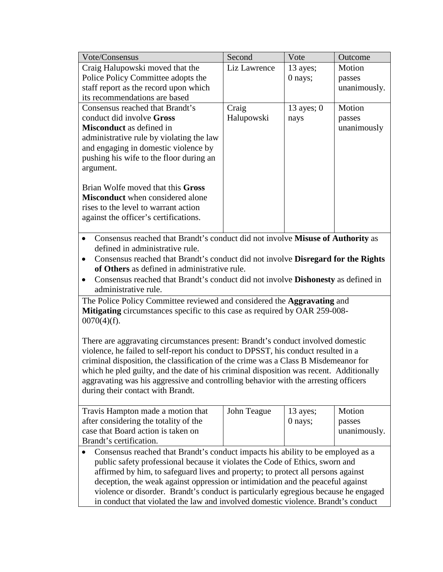| Vote/Consensus                                                                              | Second       | Vote         | Outcome      |  |
|---------------------------------------------------------------------------------------------|--------------|--------------|--------------|--|
| Craig Halupowski moved that the                                                             | Liz Lawrence | 13 ayes;     | Motion       |  |
| Police Policy Committee adopts the                                                          |              | 0 nays;      | passes       |  |
| staff report as the record upon which                                                       |              |              | unanimously. |  |
| its recommendations are based                                                               |              |              |              |  |
| Consensus reached that Brandt's                                                             | Craig        | 13 ayes; $0$ | Motion       |  |
| conduct did involve Gross                                                                   | Halupowski   | nays         | passes       |  |
| <b>Misconduct</b> as defined in                                                             |              |              | unanimously  |  |
| administrative rule by violating the law                                                    |              |              |              |  |
| and engaging in domestic violence by                                                        |              |              |              |  |
| pushing his wife to the floor during an                                                     |              |              |              |  |
| argument.                                                                                   |              |              |              |  |
|                                                                                             |              |              |              |  |
| Brian Wolfe moved that this Gross<br><b>Misconduct</b> when considered alone                |              |              |              |  |
| rises to the level to warrant action                                                        |              |              |              |  |
| against the officer's certifications.                                                       |              |              |              |  |
|                                                                                             |              |              |              |  |
| Consensus reached that Brandt's conduct did not involve Misuse of Authority as<br>$\bullet$ |              |              |              |  |
| defined in administrative rule.                                                             |              |              |              |  |
| Consensus reached that Brandt's conduct did not involve Disregard for the Rights            |              |              |              |  |
| of Others as defined in administrative rule.                                                |              |              |              |  |
| Consensus reached that Brandt's conduct did not involve <b>Dishonesty</b> as defined in     |              |              |              |  |
| administrative rule.                                                                        |              |              |              |  |
| The Police Policy Committee reviewed and considered the Aggravating and                     |              |              |              |  |
| Mitigating circumstances specific to this case as required by OAR 259-008-                  |              |              |              |  |
| $0070(4)(f)$ .                                                                              |              |              |              |  |
|                                                                                             |              |              |              |  |
| There are aggravating circumstances present: Brandt's conduct involved domestic             |              |              |              |  |
| violence, he failed to self-report his conduct to DPSST, his conduct resulted in a          |              |              |              |  |
| criminal disposition, the classification of the crime was a Class B Misdemeanor for         |              |              |              |  |
| which he pled guilty, and the date of his criminal disposition was recent. Additionally     |              |              |              |  |
| aggravating was his aggressive and controlling behavior with the arresting officers         |              |              |              |  |
| during their contact with Brandt.                                                           |              |              |              |  |
|                                                                                             |              |              |              |  |
| Travis Hampton made a motion that                                                           | John Teague  | 13 ayes;     | Motion       |  |
| after considering the totality of the                                                       |              | 0 nays;      | passes       |  |
| case that Board action is taken on                                                          |              |              | unanimously. |  |
| Brandt's certification.                                                                     |              |              |              |  |
| Consensus reached that Brandt's conduct impacts his ability to be employed as a             |              |              |              |  |
| public safety professional because it violates the Code of Ethics, sworn and                |              |              |              |  |
| affirmed by him, to safeguard lives and property; to protect all persons against            |              |              |              |  |
| deception, the weak against oppression or intimidation and the peaceful against             |              |              |              |  |
| violence or disorder. Brandt's conduct is particularly egregious because he engaged         |              |              |              |  |
| in conduct that violated the law and involved domestic violence. Brandt's conduct           |              |              |              |  |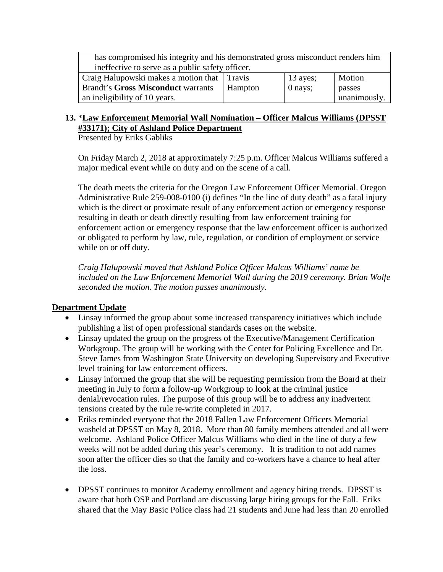| has compromised his integrity and his demonstrated gross misconduct renders him |         |            |              |  |  |
|---------------------------------------------------------------------------------|---------|------------|--------------|--|--|
| ineffective to serve as a public safety officer.                                |         |            |              |  |  |
| Craig Halupowski makes a motion that Travis                                     |         | $13$ ayes; | Motion       |  |  |
| <b>Brandt's Gross Misconduct warrants</b>                                       | Hampton | 0 nays;    | passes       |  |  |
| an ineligibility of 10 years.                                                   |         |            | unanimously. |  |  |

# **13.** \***Law Enforcement Memorial Wall Nomination – Officer Malcus Williams (DPSST #33171); City of Ashland Police Department**

Presented by Eriks Gabliks

On Friday March 2, 2018 at approximately 7:25 p.m. Officer Malcus Williams suffered a major medical event while on duty and on the scene of a call.

The death meets the criteria for the Oregon Law Enforcement Officer Memorial. Oregon Administrative Rule 259-008-0100 (i) defines "In the line of duty death" as a fatal injury which is the direct or proximate result of any enforcement action or emergency response resulting in death or death directly resulting from law enforcement training for enforcement action or emergency response that the law enforcement officer is authorized or obligated to perform by law, rule, regulation, or condition of employment or service while on or off duty.

*Craig Halupowski moved that Ashland Police Officer Malcus Williams' name be included on the Law Enforcement Memorial Wall during the 2019 ceremony. Brian Wolfe seconded the motion. The motion passes unanimously.*

# **Department Update**

- Linsay informed the group about some increased transparency initiatives which include publishing a list of open professional standards cases on the website.
- Linsay updated the group on the progress of the Executive/Management Certification Workgroup. The group will be working with the Center for Policing Excellence and Dr. Steve James from Washington State University on developing Supervisory and Executive level training for law enforcement officers.
- Linsay informed the group that she will be requesting permission from the Board at their meeting in July to form a follow-up Workgroup to look at the criminal justice denial/revocation rules. The purpose of this group will be to address any inadvertent tensions created by the rule re-write completed in 2017.
- Eriks reminded everyone that the 2018 Fallen Law Enforcement Officers Memorial washeld at DPSST on May 8, 2018. More than 80 family members attended and all were welcome. Ashland Police Officer Malcus Williams who died in the line of duty a few weeks will not be added during this year's ceremony. It is tradition to not add names soon after the officer dies so that the family and co-workers have a chance to heal after the loss.
- DPSST continues to monitor Academy enrollment and agency hiring trends. DPSST is aware that both OSP and Portland are discussing large hiring groups for the Fall. Eriks shared that the May Basic Police class had 21 students and June had less than 20 enrolled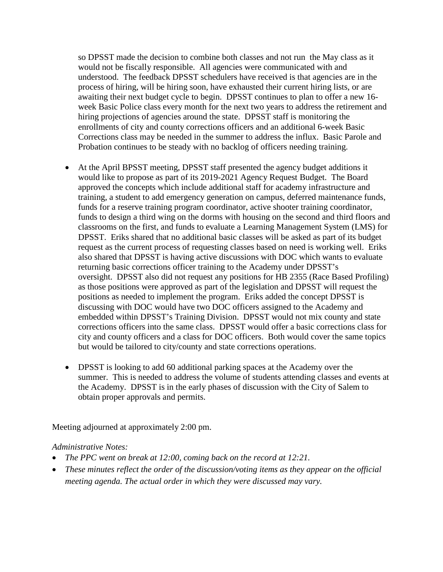so DPSST made the decision to combine both classes and not run the May class as it would not be fiscally responsible. All agencies were communicated with and understood. The feedback DPSST schedulers have received is that agencies are in the process of hiring, will be hiring soon, have exhausted their current hiring lists, or are awaiting their next budget cycle to begin. DPSST continues to plan to offer a new 16 week Basic Police class every month for the next two years to address the retirement and hiring projections of agencies around the state. DPSST staff is monitoring the enrollments of city and county corrections officers and an additional 6-week Basic Corrections class may be needed in the summer to address the influx. Basic Parole and Probation continues to be steady with no backlog of officers needing training.

- At the April BPSST meeting, DPSST staff presented the agency budget additions it would like to propose as part of its 2019-2021 Agency Request Budget. The Board approved the concepts which include additional staff for academy infrastructure and training, a student to add emergency generation on campus, deferred maintenance funds, funds for a reserve training program coordinator, active shooter training coordinator, funds to design a third wing on the dorms with housing on the second and third floors and classrooms on the first, and funds to evaluate a Learning Management System (LMS) for DPSST. Eriks shared that no additional basic classes will be asked as part of its budget request as the current process of requesting classes based on need is working well. Eriks also shared that DPSST is having active discussions with DOC which wants to evaluate returning basic corrections officer training to the Academy under DPSST's oversight. DPSST also did not request any positions for HB 2355 (Race Based Profiling) as those positions were approved as part of the legislation and DPSST will request the positions as needed to implement the program. Eriks added the concept DPSST is discussing with DOC would have two DOC officers assigned to the Academy and embedded within DPSST's Training Division. DPSST would not mix county and state corrections officers into the same class. DPSST would offer a basic corrections class for city and county officers and a class for DOC officers. Both would cover the same topics but would be tailored to city/county and state corrections operations.
- DPSST is looking to add 60 additional parking spaces at the Academy over the summer. This is needed to address the volume of students attending classes and events at the Academy. DPSST is in the early phases of discussion with the City of Salem to obtain proper approvals and permits.

Meeting adjourned at approximately 2:00 pm.

#### *Administrative Notes:*

- *The PPC went on break at 12:00, coming back on the record at 12:21.*
- *These minutes reflect the order of the discussion/voting items as they appear on the official meeting agenda. The actual order in which they were discussed may vary.*